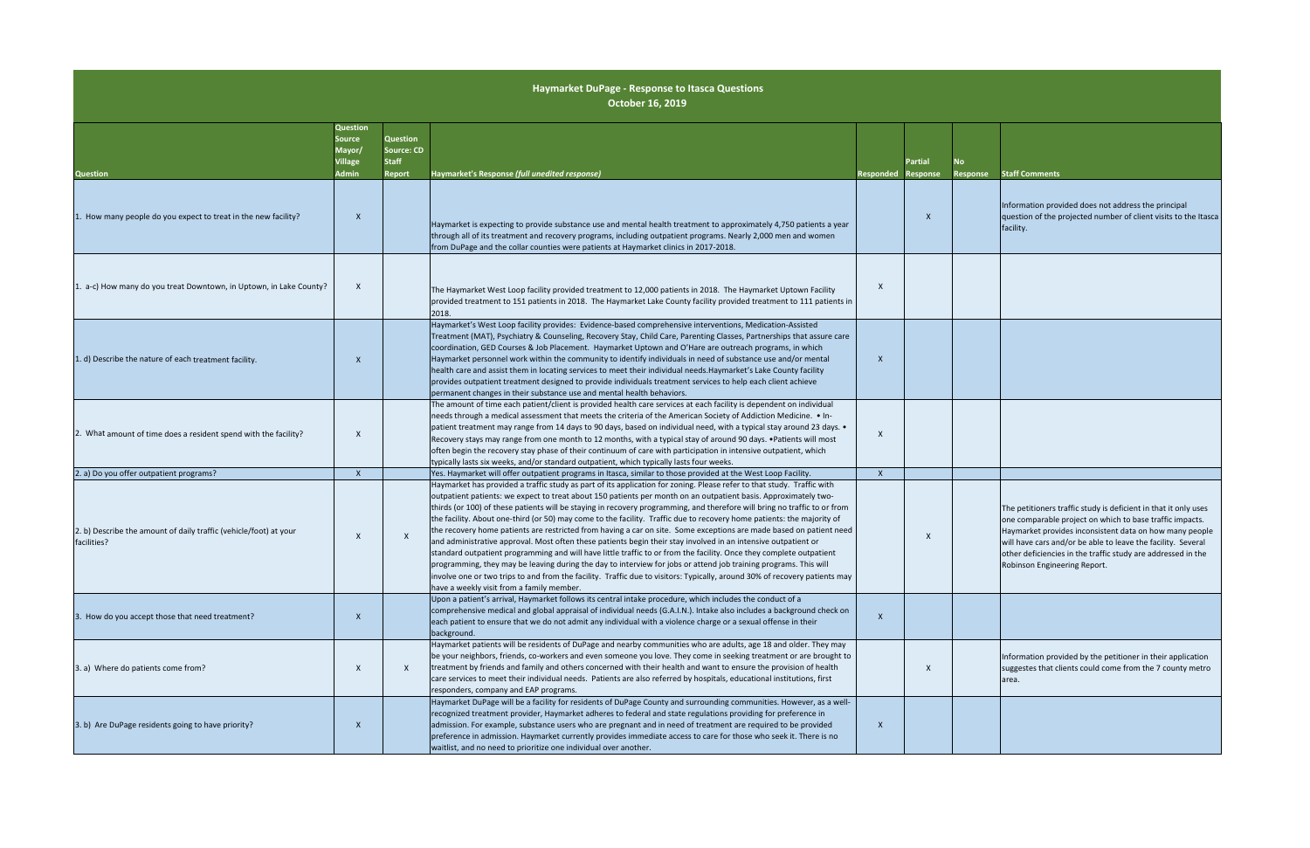| No<br>Response | <b>Staff Comments</b>                                                                                                                                                                                                                                                                                                                                  |
|----------------|--------------------------------------------------------------------------------------------------------------------------------------------------------------------------------------------------------------------------------------------------------------------------------------------------------------------------------------------------------|
|                | Information provided does not address the principal<br>question of the projected number of client visits to the Itasca<br>facility.                                                                                                                                                                                                                    |
|                |                                                                                                                                                                                                                                                                                                                                                        |
|                |                                                                                                                                                                                                                                                                                                                                                        |
|                |                                                                                                                                                                                                                                                                                                                                                        |
|                | The petitioners traffic study is deficient in that it only uses<br>one comparable project on which to base traffic impacts.<br>Haymarket provides inconsistent data on how many people<br>will have cars and/or be able to leave the facility. Several<br>other deficiencies in the traffic study are addressed in the<br>Robinson Engineering Report. |
|                |                                                                                                                                                                                                                                                                                                                                                        |
|                | Information provided by the petitioner in their application<br>suggestes that clients could come from the 7 county metro<br>area.                                                                                                                                                                                                                      |
|                |                                                                                                                                                                                                                                                                                                                                                        |

| <b>Question</b>                                                                  | <b>Question</b><br>Source<br>Mayor/<br><b>Village</b><br>Admin | Question<br>Source: CD<br><b>Staff</b><br><b>Report</b> | Haymarket's Response (full unedited response)                                                                                                                                                                                                                                                                                                                                                                                                                                                                                                                                                                                                                                                                                                                                                                                                                                                                                                                                                                                                                                                                                                                   | <b>Responded</b> | Partial<br><b>Response</b> |  |
|----------------------------------------------------------------------------------|----------------------------------------------------------------|---------------------------------------------------------|-----------------------------------------------------------------------------------------------------------------------------------------------------------------------------------------------------------------------------------------------------------------------------------------------------------------------------------------------------------------------------------------------------------------------------------------------------------------------------------------------------------------------------------------------------------------------------------------------------------------------------------------------------------------------------------------------------------------------------------------------------------------------------------------------------------------------------------------------------------------------------------------------------------------------------------------------------------------------------------------------------------------------------------------------------------------------------------------------------------------------------------------------------------------|------------------|----------------------------|--|
| 1. How many people do you expect to treat in the new facility?                   | $\mathsf{X}$                                                   |                                                         | Haymarket is expecting to provide substance use and mental health treatment to approximately 4,750 patients a year<br>through all of its treatment and recovery programs, including outpatient programs. Nearly 2,000 men and women<br>from DuPage and the collar counties were patients at Haymarket clinics in 2017-2018.                                                                                                                                                                                                                                                                                                                                                                                                                                                                                                                                                                                                                                                                                                                                                                                                                                     |                  | X                          |  |
| 1. a-c) How many do you treat Downtown, in Uptown, in Lake County?               | $\boldsymbol{\mathsf{X}}$                                      |                                                         | The Haymarket West Loop facility provided treatment to 12,000 patients in 2018. The Haymarket Uptown Facility<br>provided treatment to 151 patients in 2018. The Haymarket Lake County facility provided treatment to 111 patients in<br>2018.                                                                                                                                                                                                                                                                                                                                                                                                                                                                                                                                                                                                                                                                                                                                                                                                                                                                                                                  | X                |                            |  |
| 1. d) Describe the nature of each treatment facility.                            | X                                                              |                                                         | Haymarket's West Loop facility provides: Evidence-based comprehensive interventions, Medication-Assisted<br>Treatment (MAT), Psychiatry & Counseling, Recovery Stay, Child Care, Parenting Classes, Partnerships that assure care<br>coordination, GED Courses & Job Placement. Haymarket Uptown and O'Hare are outreach programs, in which<br>Haymarket personnel work within the community to identify individuals in need of substance use and/or mental<br>health care and assist them in locating services to meet their individual needs. Haymarket's Lake County facility<br>provides outpatient treatment designed to provide individuals treatment services to help each client achieve<br>permanent changes in their substance use and mental health behaviors.                                                                                                                                                                                                                                                                                                                                                                                       | X                |                            |  |
| 2. What amount of time does a resident spend with the facility?                  | X                                                              |                                                         | The amount of time each patient/client is provided health care services at each facility is dependent on individual<br>needs through a medical assessment that meets the criteria of the American Society of Addiction Medicine. • In-<br>patient treatment may range from 14 days to 90 days, based on individual need, with a typical stay around 23 days. .<br>Recovery stays may range from one month to 12 months, with a typical stay of around 90 days. • Patients will most<br>often begin the recovery stay phase of their continuum of care with participation in intensive outpatient, which<br>typically lasts six weeks, and/or standard outpatient, which typically lasts four weeks.                                                                                                                                                                                                                                                                                                                                                                                                                                                             | X                |                            |  |
| 2. a) Do you offer outpatient programs?                                          | $\mathsf{X}$                                                   |                                                         | Yes. Haymarket will offer outpatient programs in Itasca, similar to those provided at the West Loop Facility.                                                                                                                                                                                                                                                                                                                                                                                                                                                                                                                                                                                                                                                                                                                                                                                                                                                                                                                                                                                                                                                   | X                |                            |  |
| 2. b) Describe the amount of daily traffic (vehicle/foot) at your<br>facilities? | X                                                              | X                                                       | Haymarket has provided a traffic study as part of its application for zoning. Please refer to that study. Traffic with<br>outpatient patients: we expect to treat about 150 patients per month on an outpatient basis. Approximately two-<br>thirds (or 100) of these patients will be staying in recovery programming, and therefore will bring no traffic to or from<br>the facility. About one-third (or 50) may come to the facility. Traffic due to recovery home patients: the majority of<br>the recovery home patients are restricted from having a car on site. Some exceptions are made based on patient need<br>and administrative approval. Most often these patients begin their stay involved in an intensive outpatient or<br>standard outpatient programming and will have little traffic to or from the facility. Once they complete outpatient<br>programming, they may be leaving during the day to interview for jobs or attend job training programs. This will<br>involve one or two trips to and from the facility. Traffic due to visitors: Typically, around 30% of recovery patients may<br>have a weekly visit from a family member. |                  | X                          |  |
| 3. How do you accept those that need treatment?                                  | X                                                              |                                                         | Upon a patient's arrival, Haymarket follows its central intake procedure, which includes the conduct of a<br>comprehensive medical and global appraisal of individual needs (G.A.I.N.). Intake also includes a background check on<br>each patient to ensure that we do not admit any individual with a violence charge or a sexual offense in their<br>background.                                                                                                                                                                                                                                                                                                                                                                                                                                                                                                                                                                                                                                                                                                                                                                                             | X                |                            |  |
| 3. a) Where do patients come from?                                               | X                                                              | X                                                       | Haymarket patients will be residents of DuPage and nearby communities who are adults, age 18 and older. They may<br>be your neighbors, friends, co-workers and even someone you love. They come in seeking treatment or are brought to<br>treatment by friends and family and others concerned with their health and want to ensure the provision of health<br>care services to meet their individual needs. Patients are also referred by hospitals, educational institutions, first<br>responders, company and EAP programs.                                                                                                                                                                                                                                                                                                                                                                                                                                                                                                                                                                                                                                  |                  | X                          |  |
| 3. b) Are DuPage residents going to have priority?                               | X                                                              |                                                         | Haymarket DuPage will be a facility for residents of DuPage County and surrounding communities. However, as a well-<br>recognized treatment provider, Haymarket adheres to federal and state regulations providing for preference in<br>admission. For example, substance users who are pregnant and in need of treatment are required to be provided<br>preference in admission. Haymarket currently provides immediate access to care for those who seek it. There is no<br>waitlist, and no need to prioritize one individual over another.                                                                                                                                                                                                                                                                                                                                                                                                                                                                                                                                                                                                                  | X                |                            |  |

## **Haymarket DuPage ‐ Response to Itasca Questions October 16, 2019**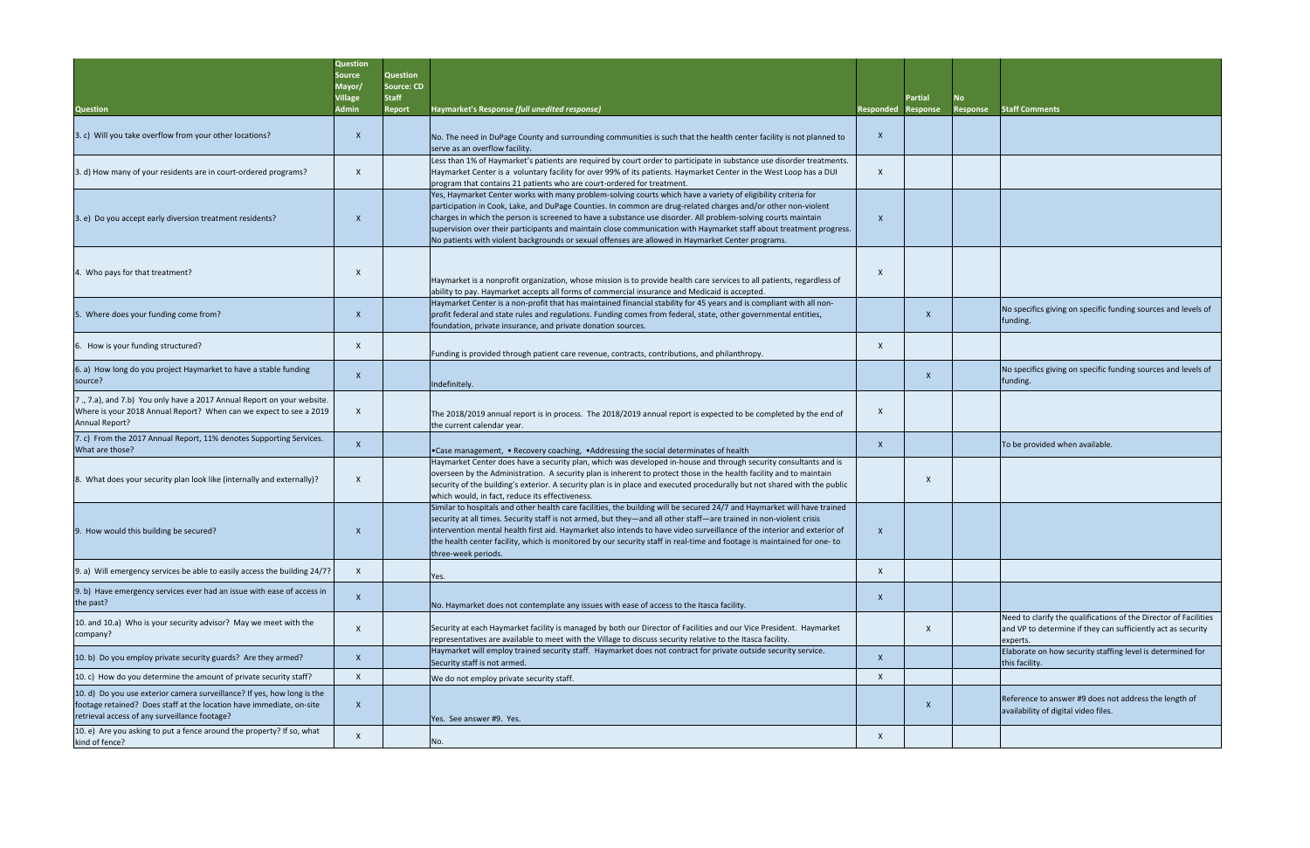|                                                                                                                                                                                                  | <b>Question</b><br>Source<br>Mayor/<br><b>Village</b> | Question<br><b>Source: CD</b><br><b>Staff</b> |                                                                                                                                                                                                                                                                                                                                                                                                                                                                                                                                                                             |                  | <b>Partial</b>            |                 |                                                                                                                                          |
|--------------------------------------------------------------------------------------------------------------------------------------------------------------------------------------------------|-------------------------------------------------------|-----------------------------------------------|-----------------------------------------------------------------------------------------------------------------------------------------------------------------------------------------------------------------------------------------------------------------------------------------------------------------------------------------------------------------------------------------------------------------------------------------------------------------------------------------------------------------------------------------------------------------------------|------------------|---------------------------|-----------------|------------------------------------------------------------------------------------------------------------------------------------------|
| <b>Question</b>                                                                                                                                                                                  | Admin                                                 | <b>Report</b>                                 | Haymarket's Response (full unedited response)                                                                                                                                                                                                                                                                                                                                                                                                                                                                                                                               | <b>Responded</b> | <b>Response</b>           | <b>Response</b> | <b>Staff Comments</b>                                                                                                                    |
| 3. c) Will you take overflow from your other locations?                                                                                                                                          | $\mathsf{X}$                                          |                                               | No. The need in DuPage County and surrounding communities is such that the health center facility is not planned to<br>serve as an overflow facility.                                                                                                                                                                                                                                                                                                                                                                                                                       | X                |                           |                 |                                                                                                                                          |
| 3. d) How many of your residents are in court-ordered programs?                                                                                                                                  | $\mathsf{x}$                                          |                                               | Less than 1% of Haymarket's patients are required by court order to participate in substance use disorder treatments.<br>Haymarket Center is a voluntary facility for over 99% of its patients. Haymarket Center in the West Loop has a DUI<br>program that contains 21 patients who are court-ordered for treatment.                                                                                                                                                                                                                                                       | $\times$         |                           |                 |                                                                                                                                          |
| 3. e) Do you accept early diversion treatment residents?                                                                                                                                         | X                                                     |                                               | Yes, Haymarket Center works with many problem-solving courts which have a variety of eligibility criteria for<br>participation in Cook, Lake, and DuPage Counties. In common are drug-related charges and/or other non-violent<br>charges in which the person is screened to have a substance use disorder. All problem-solving courts maintain<br>supervision over their participants and maintain close communication with Haymarket staff about treatment progress.<br>No patients with violent backgrounds or sexual offenses are allowed in Haymarket Center programs. | X                |                           |                 |                                                                                                                                          |
| 4. Who pays for that treatment?                                                                                                                                                                  | X                                                     |                                               | Haymarket is a nonprofit organization, whose mission is to provide health care services to all patients, regardless of<br>ability to pay. Haymarket accepts all forms of commercial insurance and Medicaid is accepted.                                                                                                                                                                                                                                                                                                                                                     |                  |                           |                 |                                                                                                                                          |
| 5. Where does your funding come from?                                                                                                                                                            | $\mathsf{x}$                                          |                                               | Haymarket Center is a non-profit that has maintained financial stability for 45 years and is compliant with all non-<br>profit federal and state rules and regulations. Funding comes from federal, state, other governmental entities,<br>foundation, private insurance, and private donation sources.                                                                                                                                                                                                                                                                     |                  | X                         |                 | No specifics giving on specific funding sources and levels<br>funding.                                                                   |
| 6. How is your funding structured?                                                                                                                                                               | $\times$                                              |                                               | Funding is provided through patient care revenue, contracts, contributions, and philanthropy.                                                                                                                                                                                                                                                                                                                                                                                                                                                                               | X                |                           |                 |                                                                                                                                          |
| 6. a) How long do you project Haymarket to have a stable funding<br>source?                                                                                                                      | $\mathsf{X}$                                          |                                               | Indefinitely.                                                                                                                                                                                                                                                                                                                                                                                                                                                                                                                                                               |                  | $\mathsf{X}$              |                 | No specifics giving on specific funding sources and levels<br>funding.                                                                   |
| 7., 7.a), and 7.b) You only have a 2017 Annual Report on your website.<br>Where is your 2018 Annual Report? When can we expect to see a 2019<br>Annual Report?                                   | $\times$                                              |                                               | The 2018/2019 annual report is in process. The 2018/2019 annual report is expected to be completed by the end of<br>the current calendar year.                                                                                                                                                                                                                                                                                                                                                                                                                              | X                |                           |                 |                                                                                                                                          |
| 7. c) From the 2017 Annual Report, 11% denotes Supporting Services.<br>What are those?                                                                                                           |                                                       |                                               | •Case management, • Recovery coaching, • Addressing the social determinates of health                                                                                                                                                                                                                                                                                                                                                                                                                                                                                       | X                |                           |                 | To be provided when available.                                                                                                           |
| 8. What does your security plan look like (internally and externally)?                                                                                                                           | X                                                     |                                               | Haymarket Center does have a security plan, which was developed in-house and through security consultants and is<br>overseen by the Administration. A security plan is inherent to protect those in the health facility and to maintain<br>security of the building's exterior. A security plan is in place and executed procedurally but not shared with the public<br>which would, in fact, reduce its effectiveness.                                                                                                                                                     |                  | X                         |                 |                                                                                                                                          |
| 9. How would this building be secured?                                                                                                                                                           |                                                       |                                               | Similar to hospitals and other health care facilities, the building will be secured 24/7 and Haymarket will have trained<br>security at all times. Security staff is not armed, but they—and all other staff—are trained in non-violent crisis<br>intervention mental health first aid. Haymarket also intends to have video surveillance of the interior and exterior of<br>the health center facility, which is monitored by our security staff in real-time and footage is maintained for one- to<br>three-week periods.                                                 | $\times$         |                           |                 |                                                                                                                                          |
| 9. a) Will emergency services be able to easily access the building 24/7?                                                                                                                        | $\mathsf{X}$                                          |                                               | Yes.                                                                                                                                                                                                                                                                                                                                                                                                                                                                                                                                                                        | $\mathsf{x}$     |                           |                 |                                                                                                                                          |
| 9. b) Have emergency services ever had an issue with ease of access in<br>the past?                                                                                                              | $\mathsf{X}$                                          |                                               | No. Haymarket does not contemplate any issues with ease of access to the Itasca facility.                                                                                                                                                                                                                                                                                                                                                                                                                                                                                   | $\times$         |                           |                 |                                                                                                                                          |
| 10. and 10.a) Who is your security advisor? May we meet with the<br>company?                                                                                                                     | $\mathsf{x}$                                          |                                               | Security at each Haymarket facility is managed by both our Director of Facilities and our Vice President. Haymarket<br>representatives are available to meet with the Village to discuss security relative to the Itasca facility.                                                                                                                                                                                                                                                                                                                                          |                  | $\boldsymbol{\mathsf{X}}$ |                 | Need to clarify the qualifications of the Director of Facilit<br>and VP to determine if they can sufficiently act as securit<br>experts. |
| 10. b) Do you employ private security guards? Are they armed?                                                                                                                                    | $\mathsf{x}$                                          |                                               | Haymarket will employ trained security staff. Haymarket does not contract for private outside security service.<br>Security staff is not armed.                                                                                                                                                                                                                                                                                                                                                                                                                             | $\times$         |                           |                 | Elaborate on how security staffing level is determined for<br>this facility.                                                             |
| 10. c) How do you determine the amount of private security staff?                                                                                                                                | $\mathsf{X}$                                          |                                               | We do not employ private security staff.                                                                                                                                                                                                                                                                                                                                                                                                                                                                                                                                    | X                |                           |                 |                                                                                                                                          |
| 10. d) Do you use exterior camera surveillance? If yes, how long is the<br>footage retained? Does staff at the location have immediate, on-site<br>retrieval access of any surveillance footage? | $\mathsf{x}$                                          |                                               | Yes. See answer #9. Yes.                                                                                                                                                                                                                                                                                                                                                                                                                                                                                                                                                    |                  | X                         |                 | Reference to answer #9 does not address the length of<br>availability of digital video files.                                            |
| 10. e) Are you asking to put a fence around the property? If so, what<br>kind of fence?                                                                                                          | X                                                     |                                               | No.                                                                                                                                                                                                                                                                                                                                                                                                                                                                                                                                                                         | X                |                           |                 |                                                                                                                                          |

| No<br><b>Response</b> | <b>Staff Comments</b>                                                                                                                        |
|-----------------------|----------------------------------------------------------------------------------------------------------------------------------------------|
|                       |                                                                                                                                              |
|                       |                                                                                                                                              |
|                       |                                                                                                                                              |
|                       |                                                                                                                                              |
|                       | No specifics giving on specific funding sources and levels of<br>funding.                                                                    |
|                       |                                                                                                                                              |
|                       | No specifics giving on specific funding sources and levels of<br>funding.                                                                    |
|                       |                                                                                                                                              |
|                       | To be provided when available.                                                                                                               |
|                       |                                                                                                                                              |
|                       |                                                                                                                                              |
|                       |                                                                                                                                              |
|                       |                                                                                                                                              |
|                       | Need to clarify the qualifications of the Director of Facilities<br>and VP to determine if they can sufficiently act as security<br>experts. |
|                       | Elaborate on how security staffing level is determined for<br>this facility.                                                                 |
|                       |                                                                                                                                              |
|                       | Reference to answer #9 does not address the length of<br>availability of digital video files.                                                |
|                       |                                                                                                                                              |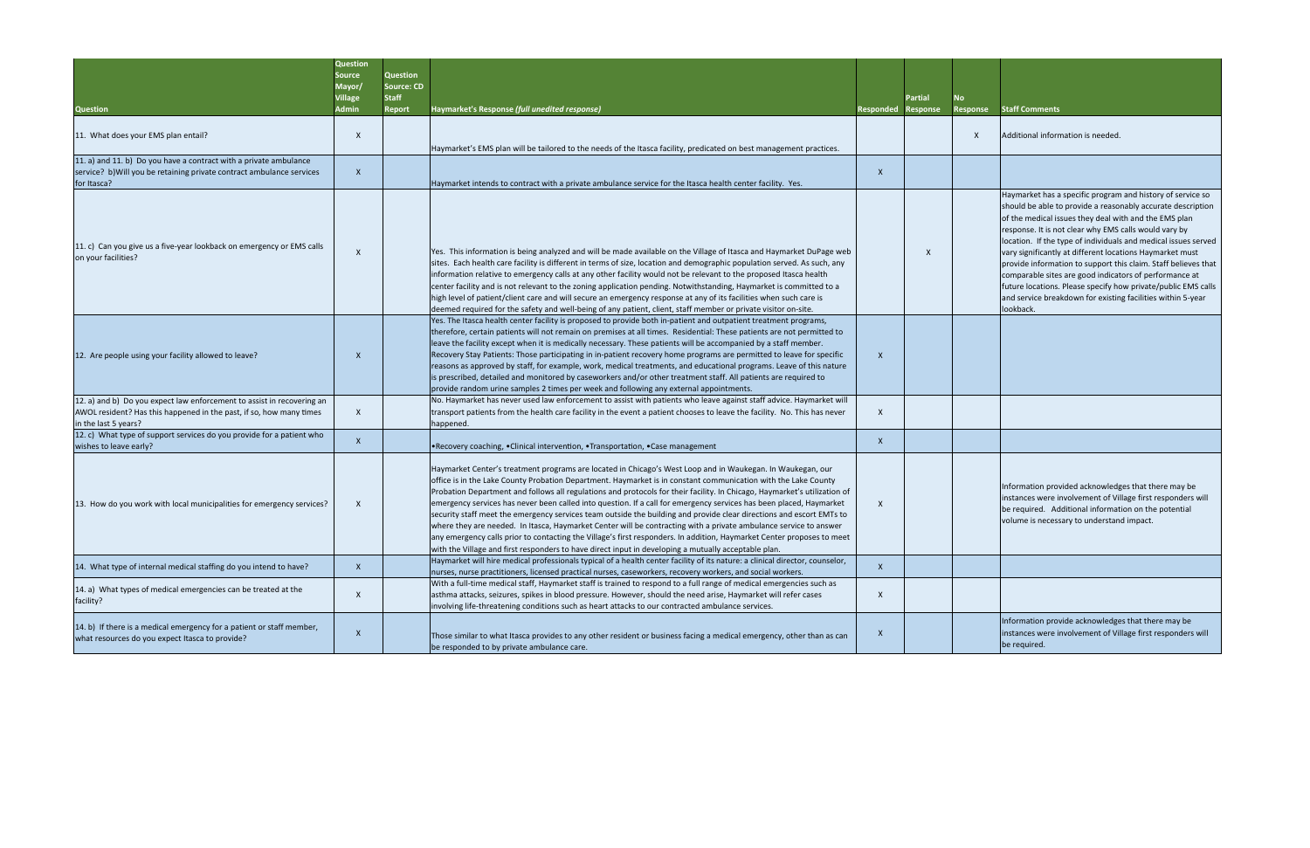| No<br><b>Response</b> | <b>Staff Comments</b>                                                                                                                                                                                                                                                                                                                                                                                                                                                                                                                                                                                                                              |
|-----------------------|----------------------------------------------------------------------------------------------------------------------------------------------------------------------------------------------------------------------------------------------------------------------------------------------------------------------------------------------------------------------------------------------------------------------------------------------------------------------------------------------------------------------------------------------------------------------------------------------------------------------------------------------------|
| X                     | Additional information is needed.                                                                                                                                                                                                                                                                                                                                                                                                                                                                                                                                                                                                                  |
|                       |                                                                                                                                                                                                                                                                                                                                                                                                                                                                                                                                                                                                                                                    |
|                       | Haymarket has a specific program and history of service so<br>should be able to provide a reasonably accurate description<br>of the medical issues they deal with and the EMS plan<br>response. It is not clear why EMS calls would vary by<br>location. If the type of individuals and medical issues served<br>vary significantly at different locations Haymarket must<br>provide information to support this claim. Staff believes that<br>comparable sites are good indicators of performance at<br>future locations. Please specify how private/public EMS calls<br>and service breakdown for existing facilities within 5-year<br>lookback. |
|                       |                                                                                                                                                                                                                                                                                                                                                                                                                                                                                                                                                                                                                                                    |
|                       |                                                                                                                                                                                                                                                                                                                                                                                                                                                                                                                                                                                                                                                    |
|                       |                                                                                                                                                                                                                                                                                                                                                                                                                                                                                                                                                                                                                                                    |
|                       | Information provided acknowledges that there may be<br>instances were involvement of Village first responders will<br>be required. Additional information on the potential<br>volume is necessary to understand impact.                                                                                                                                                                                                                                                                                                                                                                                                                            |
|                       |                                                                                                                                                                                                                                                                                                                                                                                                                                                                                                                                                                                                                                                    |
|                       |                                                                                                                                                                                                                                                                                                                                                                                                                                                                                                                                                                                                                                                    |
|                       | Information provide acknowledges that there may be<br>instances were involvement of Village first responders will<br>be required.                                                                                                                                                                                                                                                                                                                                                                                                                                                                                                                  |

|                                                                                                                                                                       | <b>Question</b><br>Source<br>Mayor/<br>Village<br>Admin | Question<br>Source: CD<br><b>Staff</b><br>Report | Haymarket's Response (full unedited response)                                                                                                                                                                                                                                                                                                                                                                                                                                                                                                                                                                                                                                                                                                                                                                                                                                                                                                                   |                  | <b>Partial</b>  |  |
|-----------------------------------------------------------------------------------------------------------------------------------------------------------------------|---------------------------------------------------------|--------------------------------------------------|-----------------------------------------------------------------------------------------------------------------------------------------------------------------------------------------------------------------------------------------------------------------------------------------------------------------------------------------------------------------------------------------------------------------------------------------------------------------------------------------------------------------------------------------------------------------------------------------------------------------------------------------------------------------------------------------------------------------------------------------------------------------------------------------------------------------------------------------------------------------------------------------------------------------------------------------------------------------|------------------|-----------------|--|
| <b>Question</b>                                                                                                                                                       |                                                         |                                                  |                                                                                                                                                                                                                                                                                                                                                                                                                                                                                                                                                                                                                                                                                                                                                                                                                                                                                                                                                                 | <b>Responded</b> | <b>Response</b> |  |
| 11. What does your EMS plan entail?                                                                                                                                   | X                                                       |                                                  |                                                                                                                                                                                                                                                                                                                                                                                                                                                                                                                                                                                                                                                                                                                                                                                                                                                                                                                                                                 |                  |                 |  |
|                                                                                                                                                                       |                                                         |                                                  | Haymarket's EMS plan will be tailored to the needs of the Itasca facility, predicated on best management practices.                                                                                                                                                                                                                                                                                                                                                                                                                                                                                                                                                                                                                                                                                                                                                                                                                                             |                  |                 |  |
| 11. a) and 11. b) Do you have a contract with a private ambulance<br>service? b) Will you be retaining private contract ambulance services<br>for Itasca?             | $\mathsf{X}$                                            |                                                  | Haymarket intends to contract with a private ambulance service for the Itasca health center facility. Yes.                                                                                                                                                                                                                                                                                                                                                                                                                                                                                                                                                                                                                                                                                                                                                                                                                                                      | X                |                 |  |
| 11. c) Can you give us a five-year lookback on emergency or EMS calls<br>on your facilities?                                                                          | X                                                       |                                                  | Yes. This information is being analyzed and will be made available on the Village of Itasca and Haymarket DuPage web<br>sites. Each health care facility is different in terms of size, location and demographic population served. As such, any<br>information relative to emergency calls at any other facility would not be relevant to the proposed Itasca health<br>center facility and is not relevant to the zoning application pending. Notwithstanding, Haymarket is committed to a<br>high level of patient/client care and will secure an emergency response at any of its facilities when such care is<br>deemed required for the safety and well-being of any patient, client, staff member or private visitor on-site.                                                                                                                                                                                                                            |                  | X               |  |
| 12. Are people using your facility allowed to leave?                                                                                                                  | X                                                       |                                                  | Yes. The Itasca health center facility is proposed to provide both in-patient and outpatient treatment programs,<br>therefore, certain patients will not remain on premises at all times. Residential: These patients are not permitted to<br>leave the facility except when it is medically necessary. These patients will be accompanied by a staff member.<br>Recovery Stay Patients: Those participating in in-patient recovery home programs are permitted to leave for specific<br>reasons as approved by staff, for example, work, medical treatments, and educational programs. Leave of this nature<br>is prescribed, detailed and monitored by caseworkers and/or other treatment staff. All patients are required to<br>provide random urine samples 2 times per week and following any external appointments.                                                                                                                                       | X                |                 |  |
| 12. a) and b) Do you expect law enforcement to assist in recovering an<br>AWOL resident? Has this happened in the past, if so, how many times<br>in the last 5 years? | X                                                       |                                                  | No. Haymarket has never used law enforcement to assist with patients who leave against staff advice. Haymarket will<br>transport patients from the health care facility in the event a patient chooses to leave the facility. No. This has never<br>happened.                                                                                                                                                                                                                                                                                                                                                                                                                                                                                                                                                                                                                                                                                                   | X                |                 |  |
| 12. c) What type of support services do you provide for a patient who<br>wishes to leave early?                                                                       | $\mathsf{X}$                                            |                                                  | . Recovery coaching, . Clinical intervention, . Transportation, . Case management                                                                                                                                                                                                                                                                                                                                                                                                                                                                                                                                                                                                                                                                                                                                                                                                                                                                               | X                |                 |  |
| 13. How do you work with local municipalities for emergency services?                                                                                                 | X                                                       |                                                  | Haymarket Center's treatment programs are located in Chicago's West Loop and in Waukegan. In Waukegan, our<br>office is in the Lake County Probation Department. Haymarket is in constant communication with the Lake County<br>Probation Department and follows all regulations and protocols for their facility. In Chicago, Haymarket's utilization of<br>emergency services has never been called into question. If a call for emergency services has been placed, Haymarket<br>security staff meet the emergency services team outside the building and provide clear directions and escort EMTs to<br>where they are needed. In Itasca, Haymarket Center will be contracting with a private ambulance service to answer<br>any emergency calls prior to contacting the Village's first responders. In addition, Haymarket Center proposes to meet<br>with the Village and first responders to have direct input in developing a mutually acceptable plan. | X                |                 |  |
| 14. What type of internal medical staffing do you intend to have?                                                                                                     | $\mathsf{X}$                                            |                                                  | Haymarket will hire medical professionals typical of a health center facility of its nature: a clinical director, counselor,<br>nurses, nurse practitioners, licensed practical nurses, caseworkers, recovery workers, and social workers.                                                                                                                                                                                                                                                                                                                                                                                                                                                                                                                                                                                                                                                                                                                      | $\mathsf{X}$     |                 |  |
| 14. a) What types of medical emergencies can be treated at the<br>facility?                                                                                           | X                                                       |                                                  | With a full-time medical staff, Haymarket staff is trained to respond to a full range of medical emergencies such as<br>asthma attacks, seizures, spikes in blood pressure. However, should the need arise, Haymarket will refer cases<br>involving life-threatening conditions such as heart attacks to our contracted ambulance services.                                                                                                                                                                                                                                                                                                                                                                                                                                                                                                                                                                                                                     | X                |                 |  |
| 14. b) If there is a medical emergency for a patient or staff member,<br>what resources do you expect Itasca to provide?                                              | X                                                       |                                                  | Those similar to what Itasca provides to any other resident or business facing a medical emergency, other than as can<br>be responded to by private ambulance care.                                                                                                                                                                                                                                                                                                                                                                                                                                                                                                                                                                                                                                                                                                                                                                                             | X                |                 |  |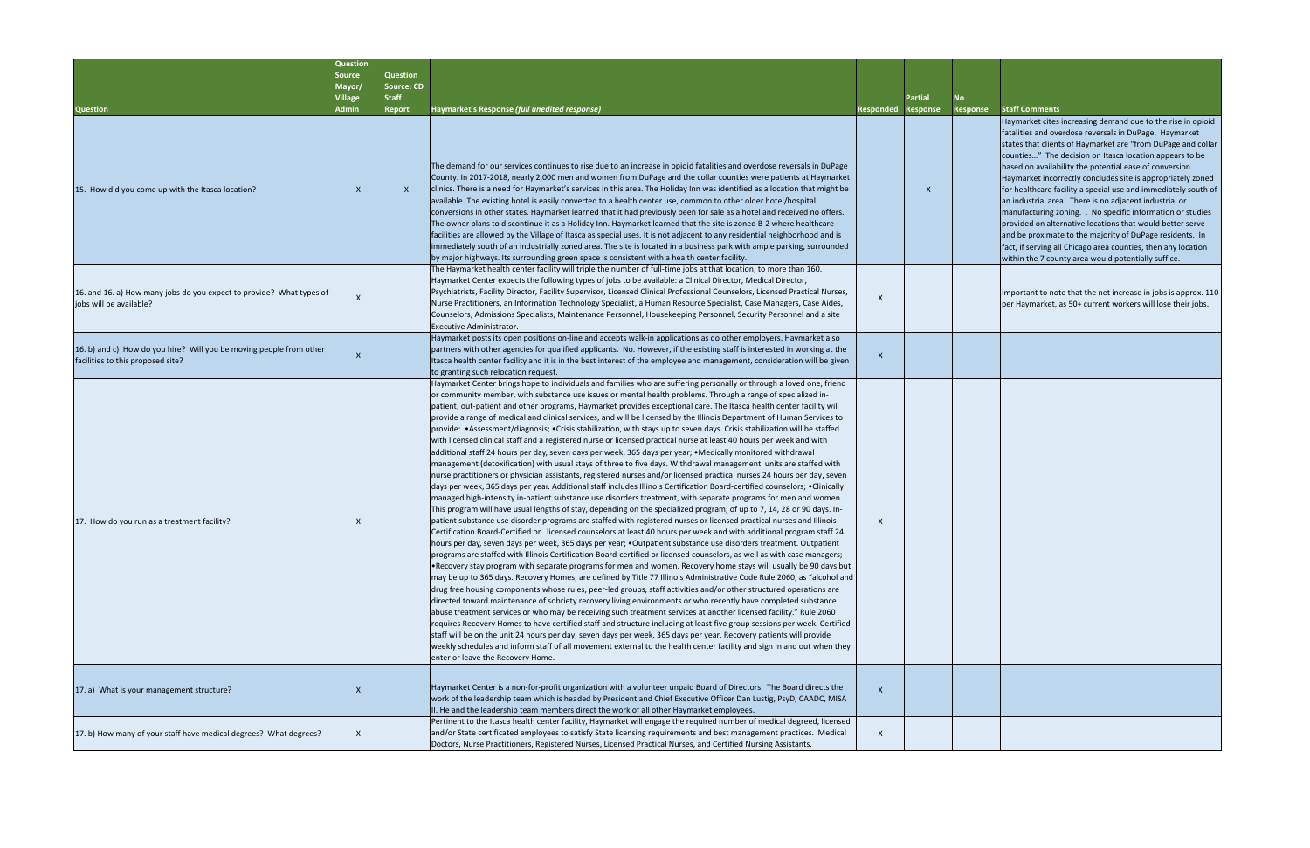|       | <b>Partial</b>  | <b>No</b>       |                                                                                                                                                                                                                                                                                                                                                                                                                                                                                                                                                                                                                                                                                                                                                                                                                       |
|-------|-----------------|-----------------|-----------------------------------------------------------------------------------------------------------------------------------------------------------------------------------------------------------------------------------------------------------------------------------------------------------------------------------------------------------------------------------------------------------------------------------------------------------------------------------------------------------------------------------------------------------------------------------------------------------------------------------------------------------------------------------------------------------------------------------------------------------------------------------------------------------------------|
| onded | <b>Response</b> | <b>Response</b> | <b>Staff Comments</b>                                                                                                                                                                                                                                                                                                                                                                                                                                                                                                                                                                                                                                                                                                                                                                                                 |
|       | X               |                 | Haymarket cites increasing demand due to the rise in opioid<br>fatalities and overdose reversals in DuPage. Haymarket<br>states that clients of Haymarket are "from DuPage and collar<br>counties" The decision on Itasca location appears to be<br>based on availability the potential ease of conversion.<br>Haymarket incorrectly concludes site is appropriately zoned<br>for healthcare facility a special use and immediately south of<br>an industrial area. There is no adjacent industrial or<br>manufacturing zoning. . No specific information or studies<br>provided on alternative locations that would better serve<br>and be proximate to the majority of DuPage residents. In<br>fact, if serving all Chicago area counties, then any location<br>within the 7 county area would potentially suffice. |
| x     |                 |                 | Important to note that the net increase in jobs is approx. 110<br>per Haymarket, as 50+ current workers will lose their jobs.                                                                                                                                                                                                                                                                                                                                                                                                                                                                                                                                                                                                                                                                                         |
| X     |                 |                 |                                                                                                                                                                                                                                                                                                                                                                                                                                                                                                                                                                                                                                                                                                                                                                                                                       |
|       |                 |                 |                                                                                                                                                                                                                                                                                                                                                                                                                                                                                                                                                                                                                                                                                                                                                                                                                       |
| Χ     |                 |                 |                                                                                                                                                                                                                                                                                                                                                                                                                                                                                                                                                                                                                                                                                                                                                                                                                       |
| X     |                 |                 |                                                                                                                                                                                                                                                                                                                                                                                                                                                                                                                                                                                                                                                                                                                                                                                                                       |
| X     |                 |                 |                                                                                                                                                                                                                                                                                                                                                                                                                                                                                                                                                                                                                                                                                                                                                                                                                       |

|                                                                                                          | <b>Question</b><br><b>Source</b><br>Mayor/<br><b>Village</b> | <b>Question</b><br><b>Source: CD</b><br><b>Staff</b> |                                                                                                                                                                                                                                                                                                                                                                                                                                                                                                                                                                                                                                                                                                                                                                                                                                                                                                                                                                                                                                                                                                                                                                                                                                                                                                                                                                                                                                                                                                                                                                                                                                                                                                                                                                                                                                                                                                                                                                                                                                                                                                                                                                                                                                                                                                                                                                                                                                                                                                                                                                                                                                                                                                                                                                                                                                                                                                                                                                                                               |                  | <b>Partial</b>  |
|----------------------------------------------------------------------------------------------------------|--------------------------------------------------------------|------------------------------------------------------|---------------------------------------------------------------------------------------------------------------------------------------------------------------------------------------------------------------------------------------------------------------------------------------------------------------------------------------------------------------------------------------------------------------------------------------------------------------------------------------------------------------------------------------------------------------------------------------------------------------------------------------------------------------------------------------------------------------------------------------------------------------------------------------------------------------------------------------------------------------------------------------------------------------------------------------------------------------------------------------------------------------------------------------------------------------------------------------------------------------------------------------------------------------------------------------------------------------------------------------------------------------------------------------------------------------------------------------------------------------------------------------------------------------------------------------------------------------------------------------------------------------------------------------------------------------------------------------------------------------------------------------------------------------------------------------------------------------------------------------------------------------------------------------------------------------------------------------------------------------------------------------------------------------------------------------------------------------------------------------------------------------------------------------------------------------------------------------------------------------------------------------------------------------------------------------------------------------------------------------------------------------------------------------------------------------------------------------------------------------------------------------------------------------------------------------------------------------------------------------------------------------------------------------------------------------------------------------------------------------------------------------------------------------------------------------------------------------------------------------------------------------------------------------------------------------------------------------------------------------------------------------------------------------------------------------------------------------------------------------------------------------|------------------|-----------------|
| <b>Question</b>                                                                                          | Admin                                                        | <b>Report</b>                                        | Haymarket's Response (full unedited response)                                                                                                                                                                                                                                                                                                                                                                                                                                                                                                                                                                                                                                                                                                                                                                                                                                                                                                                                                                                                                                                                                                                                                                                                                                                                                                                                                                                                                                                                                                                                                                                                                                                                                                                                                                                                                                                                                                                                                                                                                                                                                                                                                                                                                                                                                                                                                                                                                                                                                                                                                                                                                                                                                                                                                                                                                                                                                                                                                                 | <b>Responded</b> | <b>Response</b> |
| 15. How did you come up with the Itasca location?                                                        | X                                                            | $\boldsymbol{X}$                                     | The demand for our services continues to rise due to an increase in opioid fatalities and overdose reversals in DuPage<br>County. In 2017-2018, nearly 2,000 men and women from DuPage and the collar counties were patients at Haymarket<br>clinics. There is a need for Haymarket's services in this area. The Holiday Inn was identified as a location that might be<br>available. The existing hotel is easily converted to a health center use, common to other older hotel/hospital<br>conversions in other states. Haymarket learned that it had previously been for sale as a hotel and received no offers.<br>The owner plans to discontinue it as a Holiday Inn. Haymarket learned that the site is zoned B-2 where healthcare<br>facilities are allowed by the Village of Itasca as special uses. It is not adjacent to any residential neighborhood and is<br>immediately south of an industrially zoned area. The site is located in a business park with ample parking, surrounded<br>by major highways. Its surrounding green space is consistent with a health center facility.                                                                                                                                                                                                                                                                                                                                                                                                                                                                                                                                                                                                                                                                                                                                                                                                                                                                                                                                                                                                                                                                                                                                                                                                                                                                                                                                                                                                                                                                                                                                                                                                                                                                                                                                                                                                                                                                                                               |                  | X               |
| 16. and 16. a) How many jobs do you expect to provide? What types of<br>iobs will be available?          | $\mathsf{X}$                                                 |                                                      | The Haymarket health center facility will triple the number of full-time jobs at that location, to more than 160.<br>Haymarket Center expects the following types of jobs to be available: a Clinical Director, Medical Director,<br>Psychiatrists, Facility Director, Facility Supervisor, Licensed Clinical Professional Counselors, Licensed Practical Nurses,<br>Nurse Practitioners, an Information Technology Specialist, a Human Resource Specialist, Case Managers, Case Aides,<br>Counselors, Admissions Specialists, Maintenance Personnel, Housekeeping Personnel, Security Personnel and a site<br>Executive Administrator.                                                                                                                                                                                                                                                                                                                                                                                                                                                                                                                                                                                                                                                                                                                                                                                                                                                                                                                                                                                                                                                                                                                                                                                                                                                                                                                                                                                                                                                                                                                                                                                                                                                                                                                                                                                                                                                                                                                                                                                                                                                                                                                                                                                                                                                                                                                                                                       | X                |                 |
| 16. b) and c) How do you hire? Will you be moving people from other<br>facilities to this proposed site? | $\mathsf{X}$                                                 |                                                      | Haymarket posts its open positions on-line and accepts walk-in applications as do other employers. Haymarket also<br>partners with other agencies for qualified applicants. No. However, if the existing staff is interested in working at the<br>Itasca health center facility and it is in the best interest of the employee and management, consideration will be given<br>to granting such relocation request.                                                                                                                                                                                                                                                                                                                                                                                                                                                                                                                                                                                                                                                                                                                                                                                                                                                                                                                                                                                                                                                                                                                                                                                                                                                                                                                                                                                                                                                                                                                                                                                                                                                                                                                                                                                                                                                                                                                                                                                                                                                                                                                                                                                                                                                                                                                                                                                                                                                                                                                                                                                            | X                |                 |
| 17. How do you run as a treatment facility?                                                              | X                                                            |                                                      | Haymarket Center brings hope to individuals and families who are suffering personally or through a loved one, friend<br>or community member, with substance use issues or mental health problems. Through a range of specialized in-<br>patient, out-patient and other programs, Haymarket provides exceptional care. The Itasca health center facility will<br>provide a range of medical and clinical services, and will be licensed by the Illinois Department of Human Services to<br>provide: •Assessment/diagnosis; •Crisis stabilization, with stays up to seven days. Crisis stabilization will be staffed<br>with licensed clinical staff and a registered nurse or licensed practical nurse at least 40 hours per week and with<br>additional staff 24 hours per day, seven days per week, 365 days per year; • Medically monitored withdrawal<br>management (detoxification) with usual stays of three to five days. Withdrawal management units are staffed with<br>nurse practitioners or physician assistants, registered nurses and/or licensed practical nurses 24 hours per day, seven<br>days per week, 365 days per year. Additional staff includes Illinois Certification Board-certified counselors; •Clinically<br>managed high-intensity in-patient substance use disorders treatment, with separate programs for men and women.<br>This program will have usual lengths of stay, depending on the specialized program, of up to 7, 14, 28 or 90 days. In-<br>patient substance use disorder programs are staffed with registered nurses or licensed practical nurses and Illinois<br>Certification Board-Certified or licensed counselors at least 40 hours per week and with additional program staff 24<br>hours per day, seven days per week, 365 days per year; . Outpatient substance use disorders treatment. Outpatient<br>programs are staffed with Illinois Certification Board-certified or licensed counselors, as well as with case managers;<br>. Recovery stay program with separate programs for men and women. Recovery home stays will usually be 90 days but<br>may be up to 365 days. Recovery Homes, are defined by Title 77 Illinois Administrative Code Rule 2060, as "alcohol and<br>drug free housing components whose rules, peer-led groups, staff activities and/or other structured operations are<br>directed toward maintenance of sobriety recovery living environments or who recently have completed substance<br>abuse treatment services or who may be receiving such treatment services at another licensed facility." Rule 2060<br>requires Recovery Homes to have certified staff and structure including at least five group sessions per week. Certified<br>staff will be on the unit 24 hours per day, seven days per week, 365 days per year. Recovery patients will provide<br>weekly schedules and inform staff of all movement external to the health center facility and sign in and out when they<br>enter or leave the Recovery Home. | X                |                 |
| 17. a) What is your management structure?                                                                | $\mathsf{X}$                                                 |                                                      | Haymarket Center is a non-for-profit organization with a volunteer unpaid Board of Directors. The Board directs the<br>work of the leadership team which is headed by President and Chief Executive Officer Dan Lustig, PsyD, CAADC, MISA<br>II. He and the leadership team members direct the work of all other Haymarket employees.                                                                                                                                                                                                                                                                                                                                                                                                                                                                                                                                                                                                                                                                                                                                                                                                                                                                                                                                                                                                                                                                                                                                                                                                                                                                                                                                                                                                                                                                                                                                                                                                                                                                                                                                                                                                                                                                                                                                                                                                                                                                                                                                                                                                                                                                                                                                                                                                                                                                                                                                                                                                                                                                         | $\mathsf{X}$     |                 |
| 17. b) How many of your staff have medical degrees? What degrees?                                        | $\mathsf{X}$                                                 |                                                      | Pertinent to the Itasca health center facility, Haymarket will engage the required number of medical degreed, licensed<br>and/or State certificated employees to satisfy State licensing requirements and best management practices. Medical<br>Doctors, Nurse Practitioners, Registered Nurses, Licensed Practical Nurses, and Certified Nursing Assistants.                                                                                                                                                                                                                                                                                                                                                                                                                                                                                                                                                                                                                                                                                                                                                                                                                                                                                                                                                                                                                                                                                                                                                                                                                                                                                                                                                                                                                                                                                                                                                                                                                                                                                                                                                                                                                                                                                                                                                                                                                                                                                                                                                                                                                                                                                                                                                                                                                                                                                                                                                                                                                                                 | X                |                 |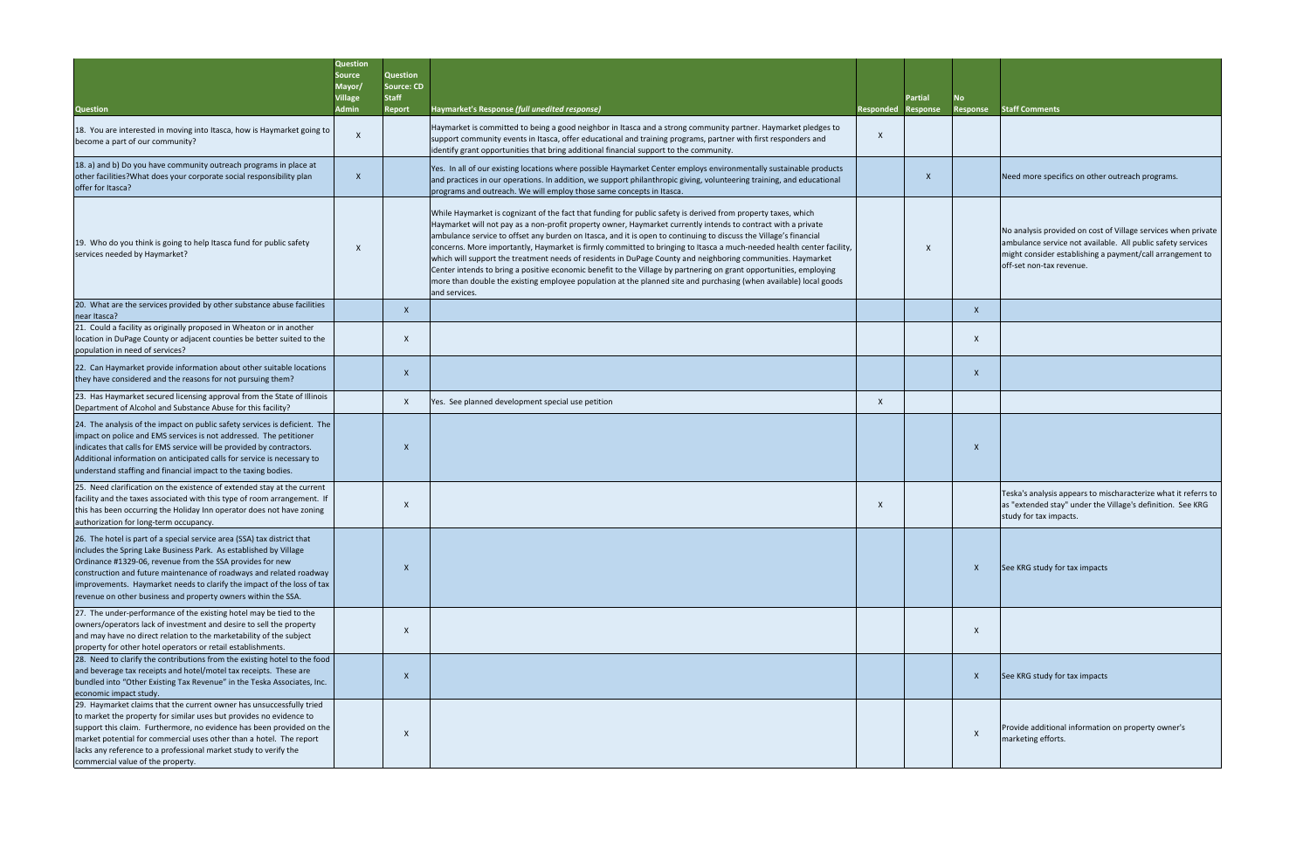| <b>Question</b>                                                                                                                                                                                                                                                                                                                                                                                                             | <b>Question</b><br>Source<br>Mayor/<br>Village<br><b>Admin</b> | <b>Question</b><br><b>Source: CD</b><br><b>Staff</b><br><b>Report</b> | Haymarket's Response (full unedited response)                                                                                                                                                                                                                                                                                                                                                                                                                                                                                                                                                                                                                                                                                                                                                                                                           | <b>Responded</b> | <b>Partial</b><br><b>Response</b> | No<br>Response | <b>Staff Co</b>                             |
|-----------------------------------------------------------------------------------------------------------------------------------------------------------------------------------------------------------------------------------------------------------------------------------------------------------------------------------------------------------------------------------------------------------------------------|----------------------------------------------------------------|-----------------------------------------------------------------------|---------------------------------------------------------------------------------------------------------------------------------------------------------------------------------------------------------------------------------------------------------------------------------------------------------------------------------------------------------------------------------------------------------------------------------------------------------------------------------------------------------------------------------------------------------------------------------------------------------------------------------------------------------------------------------------------------------------------------------------------------------------------------------------------------------------------------------------------------------|------------------|-----------------------------------|----------------|---------------------------------------------|
| 18. You are interested in moving into Itasca, how is Haymarket going to<br>become a part of our community?                                                                                                                                                                                                                                                                                                                  | $\times$                                                       |                                                                       | Haymarket is committed to being a good neighbor in Itasca and a strong community partner. Haymarket pledges to<br>support community events in Itasca, offer educational and training programs, partner with first responders and<br>lidentify grant opportunities that bring additional financial support to the community.                                                                                                                                                                                                                                                                                                                                                                                                                                                                                                                             | X                |                                   |                |                                             |
| 18. a) and b) Do you have community outreach programs in place at<br>other facilities? What does your corporate social responsibility plan<br>offer for Itasca?                                                                                                                                                                                                                                                             | $\mathsf{X}$                                                   |                                                                       | Yes. In all of our existing locations where possible Haymarket Center employs environmentally sustainable products<br>and practices in our operations. In addition, we support philanthropic giving, volunteering training, and educational<br>programs and outreach. We will employ those same concepts in Itasca.                                                                                                                                                                                                                                                                                                                                                                                                                                                                                                                                     |                  | X                                 |                | Need m                                      |
| 19. Who do you think is going to help Itasca fund for public safety<br>services needed by Haymarket?                                                                                                                                                                                                                                                                                                                        | $\times$                                                       |                                                                       | While Haymarket is cognizant of the fact that funding for public safety is derived from property taxes, which<br>Haymarket will not pay as a non-profit property owner, Haymarket currently intends to contract with a private<br>ambulance service to offset any burden on Itasca, and it is open to continuing to discuss the Village's financial<br>concerns. More importantly, Haymarket is firmly committed to bringing to Itasca a much-needed health center facility,<br>which will support the treatment needs of residents in DuPage County and neighboring communities. Haymarket<br>Center intends to bring a positive economic benefit to the Village by partnering on grant opportunities, employing<br>more than double the existing employee population at the planned site and purchasing (when available) local goods<br>and services. |                  | $\times$                          |                | No anal<br>ambular<br>might co<br>off-set r |
| 20. What are the services provided by other substance abuse facilities<br>near Itasca?                                                                                                                                                                                                                                                                                                                                      |                                                                | X                                                                     |                                                                                                                                                                                                                                                                                                                                                                                                                                                                                                                                                                                                                                                                                                                                                                                                                                                         |                  |                                   | $\mathsf{X}$   |                                             |
| 21. Could a facility as originally proposed in Wheaton or in another<br>location in DuPage County or adjacent counties be better suited to the<br>population in need of services?                                                                                                                                                                                                                                           |                                                                | X                                                                     |                                                                                                                                                                                                                                                                                                                                                                                                                                                                                                                                                                                                                                                                                                                                                                                                                                                         |                  |                                   | X              |                                             |
| 22. Can Haymarket provide information about other suitable locations<br>they have considered and the reasons for not pursuing them?                                                                                                                                                                                                                                                                                         |                                                                | X                                                                     |                                                                                                                                                                                                                                                                                                                                                                                                                                                                                                                                                                                                                                                                                                                                                                                                                                                         |                  |                                   | $\times$       |                                             |
| 23. Has Haymarket secured licensing approval from the State of Illinois<br>Department of Alcohol and Substance Abuse for this facility?                                                                                                                                                                                                                                                                                     |                                                                | X                                                                     | Yes. See planned development special use petition                                                                                                                                                                                                                                                                                                                                                                                                                                                                                                                                                                                                                                                                                                                                                                                                       | X                |                                   |                |                                             |
| 24. The analysis of the impact on public safety services is deficient. The<br>impact on police and EMS services is not addressed. The petitioner<br>indicates that calls for EMS service will be provided by contractors.<br>Additional information on anticipated calls for service is necessary to<br>understand staffing and financial impact to the taxing bodies.                                                      |                                                                | $\times$                                                              |                                                                                                                                                                                                                                                                                                                                                                                                                                                                                                                                                                                                                                                                                                                                                                                                                                                         |                  |                                   | $\times$       |                                             |
| 25. Need clarification on the existence of extended stay at the current<br>facility and the taxes associated with this type of room arrangement. If<br>this has been occurring the Holiday Inn operator does not have zoning<br>authorization for long-term occupancy.                                                                                                                                                      |                                                                | $\times$                                                              |                                                                                                                                                                                                                                                                                                                                                                                                                                                                                                                                                                                                                                                                                                                                                                                                                                                         | $\times$         |                                   |                | Teska's<br>as "exte<br>study fo             |
| 26. The hotel is part of a special service area (SSA) tax district that<br>includes the Spring Lake Business Park. As established by Village<br>Ordinance #1329-06, revenue from the SSA provides for new<br>construction and future maintenance of roadways and related roadway<br>improvements. Haymarket needs to clarify the impact of the loss of tax<br>revenue on other business and property owners within the SSA. |                                                                | X                                                                     |                                                                                                                                                                                                                                                                                                                                                                                                                                                                                                                                                                                                                                                                                                                                                                                                                                                         |                  |                                   | X              | See KRG                                     |
| 27. The under-performance of the existing hotel may be tied to the<br>owners/operators lack of investment and desire to sell the property<br>and may have no direct relation to the marketability of the subject<br>property for other hotel operators or retail establishments.                                                                                                                                            |                                                                | X                                                                     |                                                                                                                                                                                                                                                                                                                                                                                                                                                                                                                                                                                                                                                                                                                                                                                                                                                         |                  |                                   | X              |                                             |
| 28. Need to clarify the contributions from the existing hotel to the food<br>and beverage tax receipts and hotel/motel tax receipts. These are<br>bundled into "Other Existing Tax Revenue" in the Teska Associates, Inc.<br>economic impact study.                                                                                                                                                                         |                                                                | X                                                                     |                                                                                                                                                                                                                                                                                                                                                                                                                                                                                                                                                                                                                                                                                                                                                                                                                                                         |                  |                                   | X              | See KRG                                     |
| 29. Haymarket claims that the current owner has unsuccessfully tried<br>to market the property for similar uses but provides no evidence to<br>support this claim. Furthermore, no evidence has been provided on the<br>market potential for commercial uses other than a hotel. The report<br>lacks any reference to a professional market study to verify the<br>commercial value of the property.                        |                                                                | X                                                                     |                                                                                                                                                                                                                                                                                                                                                                                                                                                                                                                                                                                                                                                                                                                                                                                                                                                         |                  |                                   | $\mathsf{X}$   | Provide<br>marketi                          |

| L<br>nse | No<br>Response | <b>Staff Comments</b>                                                                                                                                                                                                 |
|----------|----------------|-----------------------------------------------------------------------------------------------------------------------------------------------------------------------------------------------------------------------|
|          |                |                                                                                                                                                                                                                       |
| X        |                | Need more specifics on other outreach programs.                                                                                                                                                                       |
| Χ        |                | No analysis provided on cost of Village services when private<br>ambulance service not available. All public safety services<br>might consider establishing a payment/call arrangement to<br>off-set non-tax revenue. |
|          | X              |                                                                                                                                                                                                                       |
|          | Χ              |                                                                                                                                                                                                                       |
|          | X              |                                                                                                                                                                                                                       |
|          |                |                                                                                                                                                                                                                       |
|          | X              |                                                                                                                                                                                                                       |
|          |                | Teska's analysis appears to mischaracterize what it referrs to<br>as "extended stay" under the Village's definition. See KRG<br>study for tax impacts.                                                                |
|          | X              | See KRG study for tax impacts                                                                                                                                                                                         |
|          | X              |                                                                                                                                                                                                                       |
|          | X              | See KRG study for tax impacts                                                                                                                                                                                         |
|          | X              | Provide additional information on property owner's<br>marketing efforts.                                                                                                                                              |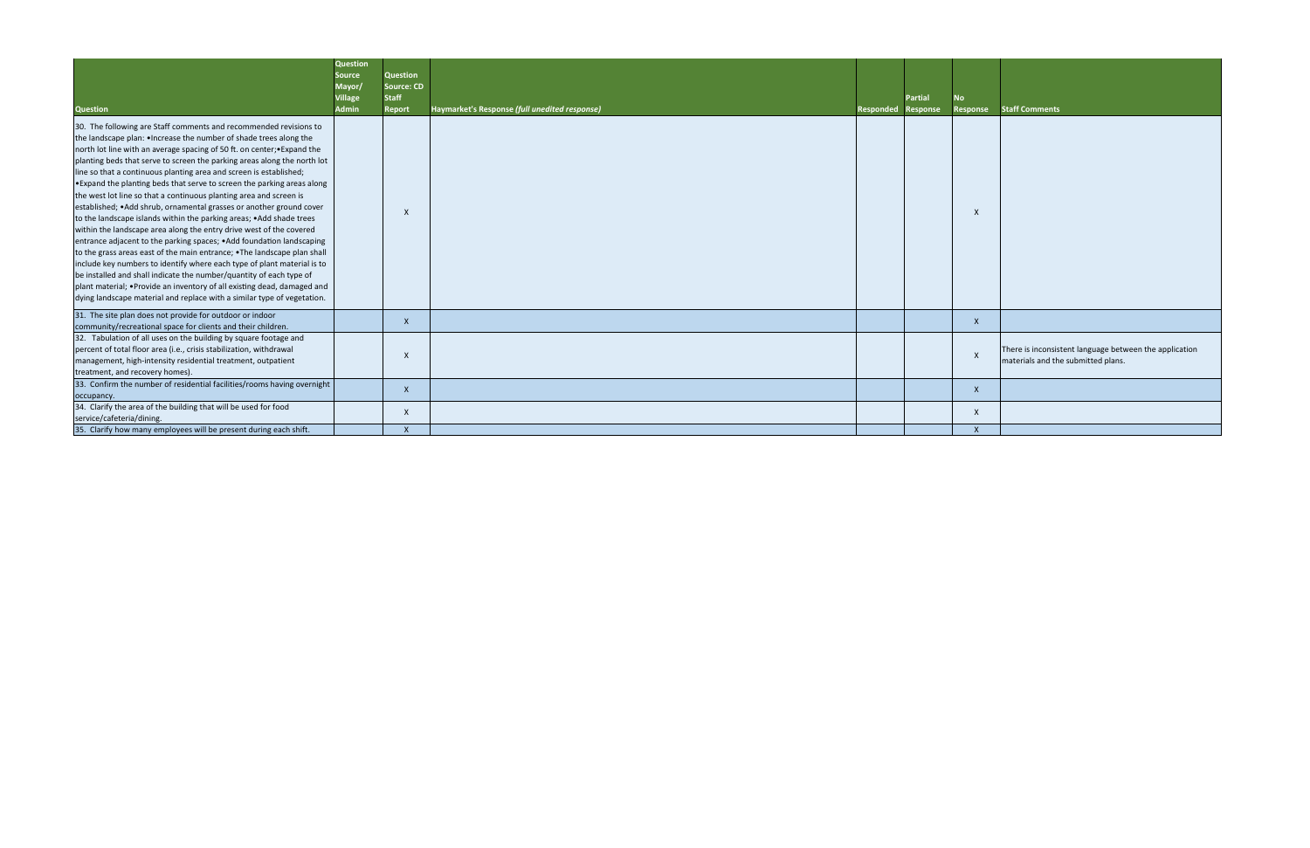|                                                                                                                                                                                                                                                                                                                                                                                                                                                                                                                                                                                                                                                                                                                                                                                                                                                                                                                                                                                                                                                                                                                                                                                                             | <b>Question</b>          |                                      |                                               |                           |                |              |                                                                                              |
|-------------------------------------------------------------------------------------------------------------------------------------------------------------------------------------------------------------------------------------------------------------------------------------------------------------------------------------------------------------------------------------------------------------------------------------------------------------------------------------------------------------------------------------------------------------------------------------------------------------------------------------------------------------------------------------------------------------------------------------------------------------------------------------------------------------------------------------------------------------------------------------------------------------------------------------------------------------------------------------------------------------------------------------------------------------------------------------------------------------------------------------------------------------------------------------------------------------|--------------------------|--------------------------------------|-----------------------------------------------|---------------------------|----------------|--------------|----------------------------------------------------------------------------------------------|
|                                                                                                                                                                                                                                                                                                                                                                                                                                                                                                                                                                                                                                                                                                                                                                                                                                                                                                                                                                                                                                                                                                                                                                                                             | <b>Source</b>            | <b>Question</b><br><b>Source: CD</b> |                                               |                           |                |              |                                                                                              |
|                                                                                                                                                                                                                                                                                                                                                                                                                                                                                                                                                                                                                                                                                                                                                                                                                                                                                                                                                                                                                                                                                                                                                                                                             | Mayor/<br><b>Village</b> | <b>Staff</b>                         |                                               |                           | <b>Partial</b> | No           |                                                                                              |
| <b>Question</b>                                                                                                                                                                                                                                                                                                                                                                                                                                                                                                                                                                                                                                                                                                                                                                                                                                                                                                                                                                                                                                                                                                                                                                                             | <b>Admin</b>             | <b>Report</b>                        | Haymarket's Response (full unedited response) | <b>Responded Response</b> |                | Response     | <b>Staff Comments</b>                                                                        |
| 30. The following are Staff comments and recommended revisions to<br>the landscape plan: • Increase the number of shade trees along the<br>north lot line with an average spacing of 50 ft. on center; • Expand the<br>planting beds that serve to screen the parking areas along the north lot<br>line so that a continuous planting area and screen is established;<br>. Expand the planting beds that serve to screen the parking areas along<br>the west lot line so that a continuous planting area and screen is<br>established; • Add shrub, ornamental grasses or another ground cover<br>to the landscape islands within the parking areas; • Add shade trees<br>within the landscape area along the entry drive west of the covered<br>entrance adjacent to the parking spaces; • Add foundation landscaping<br>to the grass areas east of the main entrance; • The landscape plan shall<br>include key numbers to identify where each type of plant material is to<br>be installed and shall indicate the number/quantity of each type of<br>plant material; • Provide an inventory of all existing dead, damaged and<br>dying landscape material and replace with a similar type of vegetation. |                          | $\mathsf{x}$                         |                                               |                           |                |              |                                                                                              |
| 31. The site plan does not provide for outdoor or indoor<br>community/recreational space for clients and their children.                                                                                                                                                                                                                                                                                                                                                                                                                                                                                                                                                                                                                                                                                                                                                                                                                                                                                                                                                                                                                                                                                    |                          | $\mathsf{X}$                         |                                               |                           |                | $\mathsf{X}$ |                                                                                              |
| 32. Tabulation of all uses on the building by square footage and<br>percent of total floor area (i.e., crisis stabilization, withdrawal<br>management, high-intensity residential treatment, outpatient<br>treatment, and recovery homes).                                                                                                                                                                                                                                                                                                                                                                                                                                                                                                                                                                                                                                                                                                                                                                                                                                                                                                                                                                  |                          | $\mathsf{x}$                         |                                               |                           |                | $\mathsf{x}$ | There is inconsistent language between the application<br>materials and the submitted plans. |
| 33. Confirm the number of residential facilities/rooms having overnight<br>occupancy.                                                                                                                                                                                                                                                                                                                                                                                                                                                                                                                                                                                                                                                                                                                                                                                                                                                                                                                                                                                                                                                                                                                       |                          | $\mathsf{X}$                         |                                               |                           |                | X            |                                                                                              |
| 34. Clarify the area of the building that will be used for food<br>service/cafeteria/dining.                                                                                                                                                                                                                                                                                                                                                                                                                                                                                                                                                                                                                                                                                                                                                                                                                                                                                                                                                                                                                                                                                                                |                          | $\mathsf{x}$                         |                                               |                           |                | X            |                                                                                              |
| 35. Clarify how many employees will be present during each shift.                                                                                                                                                                                                                                                                                                                                                                                                                                                                                                                                                                                                                                                                                                                                                                                                                                                                                                                                                                                                                                                                                                                                           |                          |                                      |                                               |                           |                |              |                                                                                              |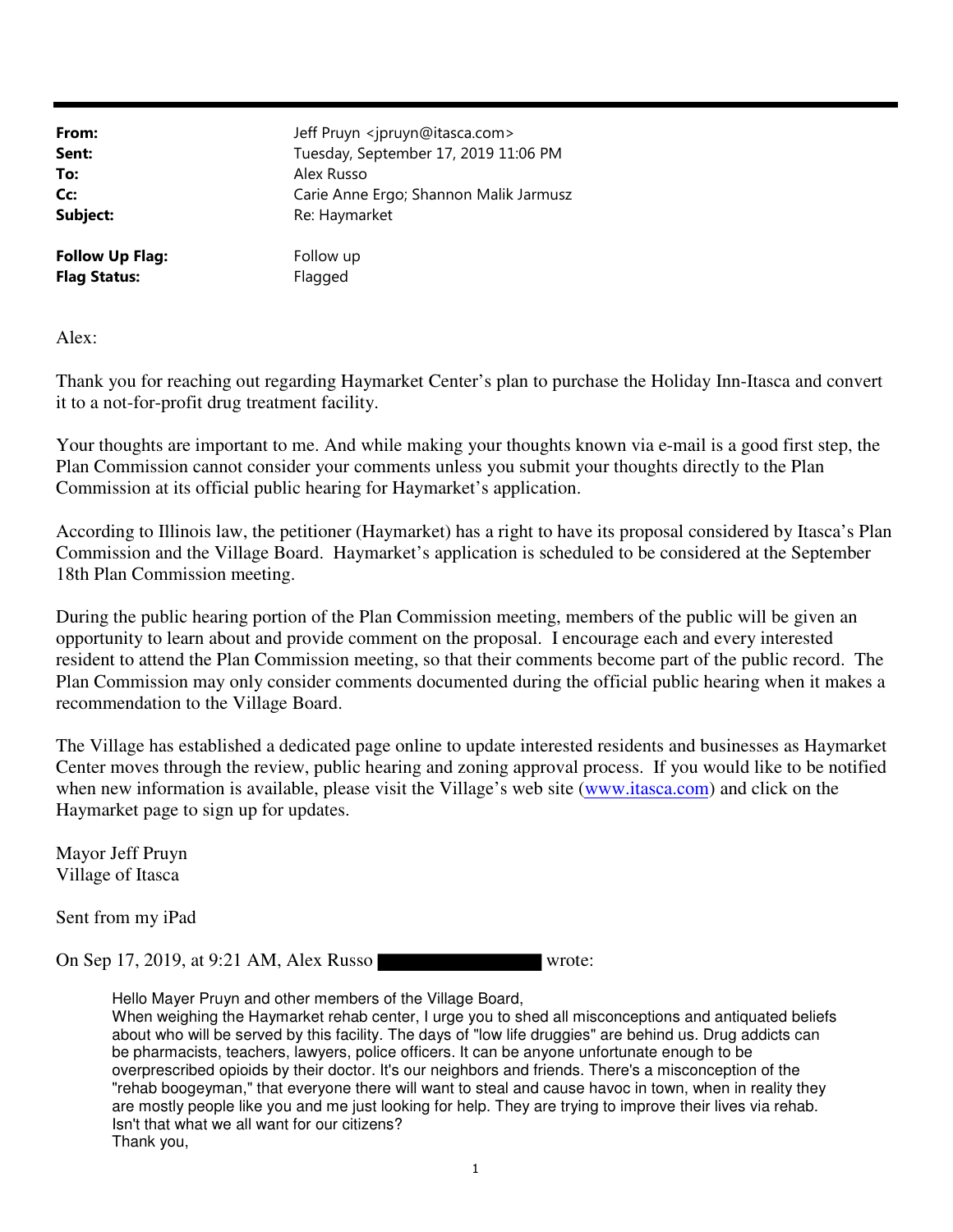| From:                  | Jeff Pruyn <jpruyn@itasca.com></jpruyn@itasca.com> |
|------------------------|----------------------------------------------------|
| Sent:                  | Tuesday, September 17, 2019 11:06 PM               |
| To:                    | Alex Russo                                         |
| Cc:                    | Carie Anne Ergo; Shannon Malik Jarmusz             |
| Subject:               | Re: Haymarket                                      |
| <b>Follow Up Flag:</b> | Follow up                                          |
| <b>Flag Status:</b>    | Flagged                                            |

Alex:

Thank you for reaching out regarding Haymarket Center's plan to purchase the Holiday Inn-Itasca and convert it to a not-for-profit drug treatment facility.

Your thoughts are important to me. And while making your thoughts known via e-mail is a good first step, the Plan Commission cannot consider your comments unless you submit your thoughts directly to the Plan Commission at its official public hearing for Haymarket's application.

According to Illinois law, the petitioner (Haymarket) has a right to have its proposal considered by Itasca's Plan Commission and the Village Board. Haymarket's application is scheduled to be considered at the September 18th Plan Commission meeting.

During the public hearing portion of the Plan Commission meeting, members of the public will be given an opportunity to learn about and provide comment on the proposal. I encourage each and every interested resident to attend the Plan Commission meeting, so that their comments become part of the public record. The Plan Commission may only consider comments documented during the official public hearing when it makes a recommendation to the Village Board.

The Village has established a dedicated page online to update interested residents and businesses as Haymarket Center moves through the review, public hearing and zoning approval process. If you would like to be notified when new information is available, please visit the Village's web site (www.itasca.com) and click on the Haymarket page to sign up for updates.

Mayor Jeff Pruyn Village of Itasca

Sent from my iPad

On Sep 17, 2019, at 9:21 AM, Alex Russo

Hello Mayer Pruyn and other members of the Village Board, When weighing the Haymarket rehab center, I urge you to shed all misconceptions and antiquated beliefs about who will be served by this facility. The days of "low life druggies" are behind us. Drug addicts can be pharmacists, teachers, lawyers, police officers. It can be anyone unfortunate enough to be overprescribed opioids by their doctor. It's our neighbors and friends. There's a misconception of the "rehab boogeyman," that everyone there will want to steal and cause havoc in town, when in reality they are mostly people like you and me just looking for help. They are trying to improve their lives via rehab. Isn't that what we all want for our citizens? Thank you,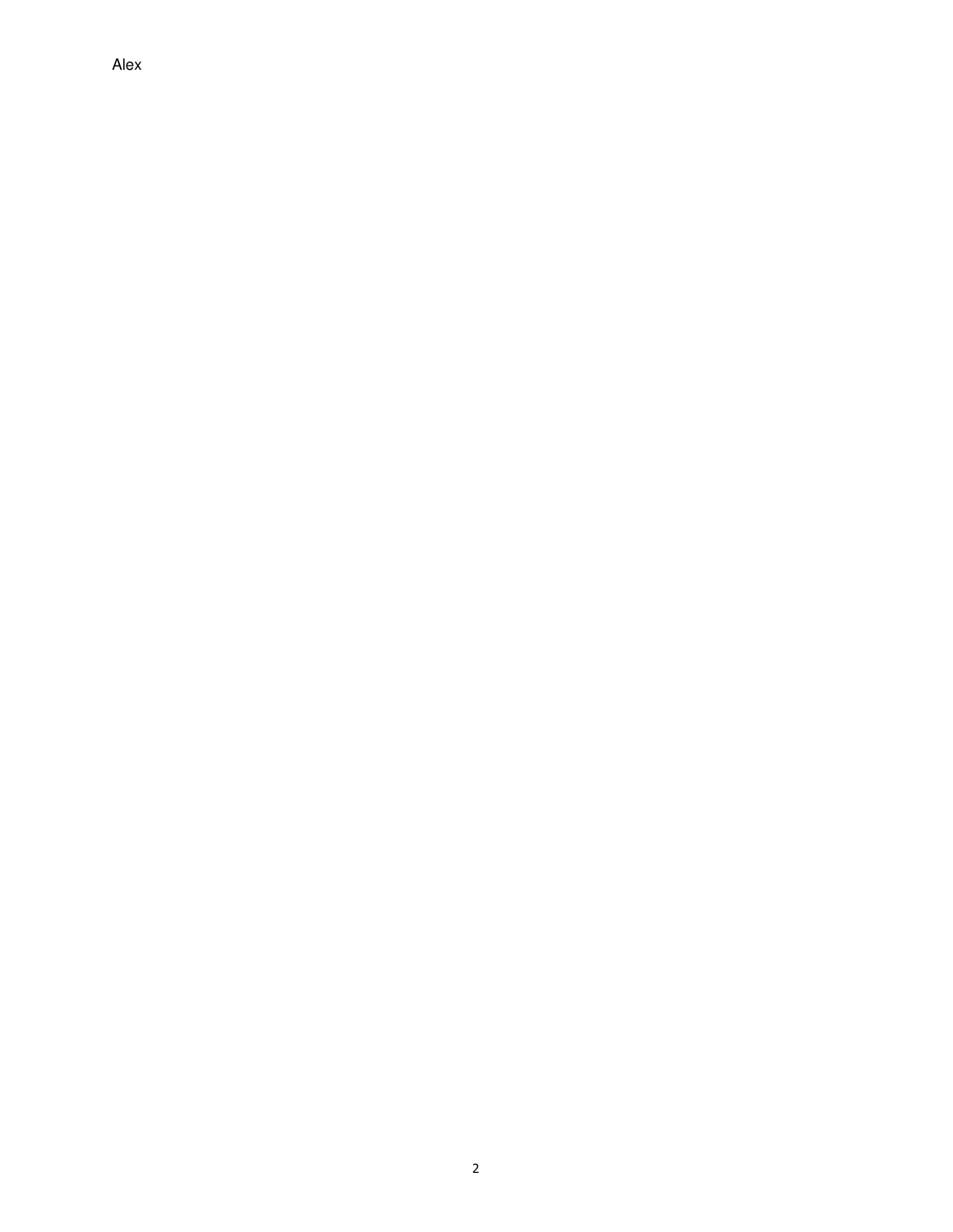Alex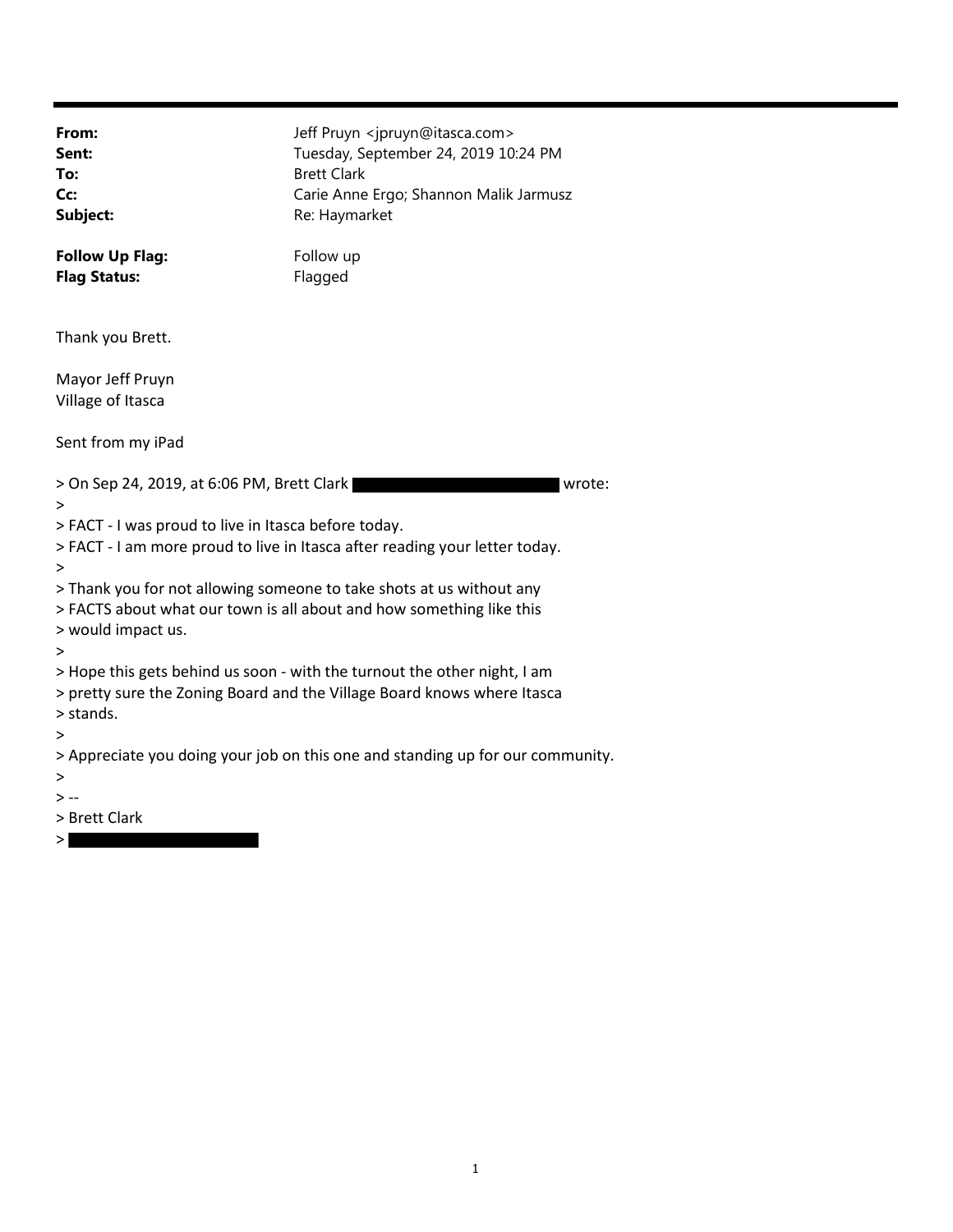| From:<br>Sent:<br>To:<br>Cc:<br>Subject:                                                                                                                                                         | Jeff Pruyn <jpruyn@itasca.com><br/>Tuesday, September 24, 2019 10:24 PM<br/><b>Brett Clark</b><br/>Carie Anne Ergo; Shannon Malik Jarmusz<br/>Re: Haymarket</jpruyn@itasca.com> |  |
|--------------------------------------------------------------------------------------------------------------------------------------------------------------------------------------------------|---------------------------------------------------------------------------------------------------------------------------------------------------------------------------------|--|
| <b>Follow Up Flag:</b><br><b>Flag Status:</b>                                                                                                                                                    | Follow up<br>Flagged                                                                                                                                                            |  |
| Thank you Brett.                                                                                                                                                                                 |                                                                                                                                                                                 |  |
| Mayor Jeff Pruyn<br>Village of Itasca                                                                                                                                                            |                                                                                                                                                                                 |  |
| Sent from my iPad                                                                                                                                                                                |                                                                                                                                                                                 |  |
| > On Sep 24, 2019, at 6:06 PM, Brett Clark<br>wrote:<br>><br>> FACT - I was proud to live in Itasca before today.<br>> FACT - I am more proud to live in Itasca after reading your letter today. |                                                                                                                                                                                 |  |
| $\geq$<br>> Thank you for not allowing someone to take shots at us without any<br>> FACTS about what our town is all about and how something like this<br>> would impact us.<br>>                |                                                                                                                                                                                 |  |
| > Hope this gets behind us soon - with the turnout the other night, I am<br>> pretty sure the Zoning Board and the Village Board knows where Itasca<br>> stands.                                 |                                                                                                                                                                                 |  |
| ><br>> Appreciate you doing your job on this one and standing up for our community.<br>><br>$> -$<br>> Brett Clark                                                                               |                                                                                                                                                                                 |  |
|                                                                                                                                                                                                  |                                                                                                                                                                                 |  |

 $>$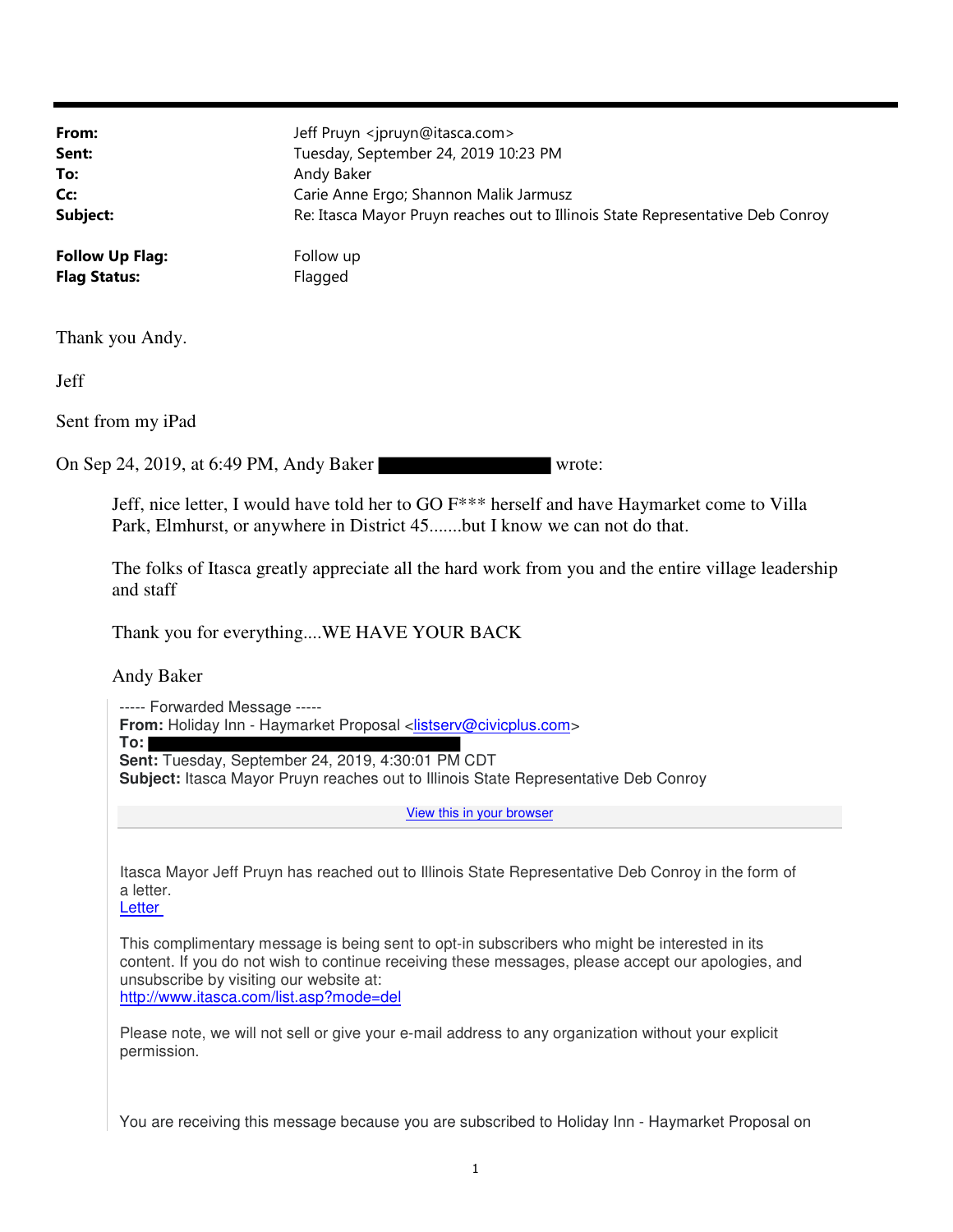| From:<br>Sent:<br>To:<br>Cc:<br>Subject:          | Jeff Pruyn <jpruyn@itasca.com><br/>Tuesday, September 24, 2019 10:23 PM<br/>Andy Baker<br/>Carie Anne Ergo; Shannon Malik Jarmusz<br/>Re: Itasca Mayor Pruyn reaches out to Illinois State Representative Deb Conroy</jpruyn@itasca.com> |  |
|---------------------------------------------------|------------------------------------------------------------------------------------------------------------------------------------------------------------------------------------------------------------------------------------------|--|
| <b>Follow Up Flag:</b><br><b>Flag Status:</b>     | Follow up<br>Flagged                                                                                                                                                                                                                     |  |
| Thank you Andy.                                   |                                                                                                                                                                                                                                          |  |
| Jeff                                              |                                                                                                                                                                                                                                          |  |
| Sent from my iPad                                 |                                                                                                                                                                                                                                          |  |
| On Sep 24, 2019, at 6:49 PM, Andy Baker<br>wrote: |                                                                                                                                                                                                                                          |  |

Jeff, nice letter, I would have told her to GO F\*\*\* herself and have Haymarket come to Villa Park, Elmhurst, or anywhere in District 45.......but I know we can not do that.

The folks of Itasca greatly appreciate all the hard work from you and the entire village leadership and staff

Thank you for everything....WE HAVE YOUR BACK

Andy Baker

----- Forwarded Message ----- **From:** Holiday Inn - Haymarket Proposal <listserv@civicplus.com> **To:**

**Sent:** Tuesday, September 24, 2019, 4:30:01 PM CDT

**Subject:** Itasca Mayor Pruyn reaches out to Illinois State Representative Deb Conroy

View this in your browser

Itasca Mayor Jeff Pruyn has reached out to Illinois State Representative Deb Conroy in the form of a letter.

**Letter** 

This complimentary message is being sent to opt-in subscribers who might be interested in its content. If you do not wish to continue receiving these messages, please accept our apologies, and unsubscribe by visiting our website at: http://www.itasca.com/list.asp?mode=del

Please note, we will not sell or give your e-mail address to any organization without your explicit permission.

You are receiving this message because you are subscribed to Holiday Inn - Haymarket Proposal on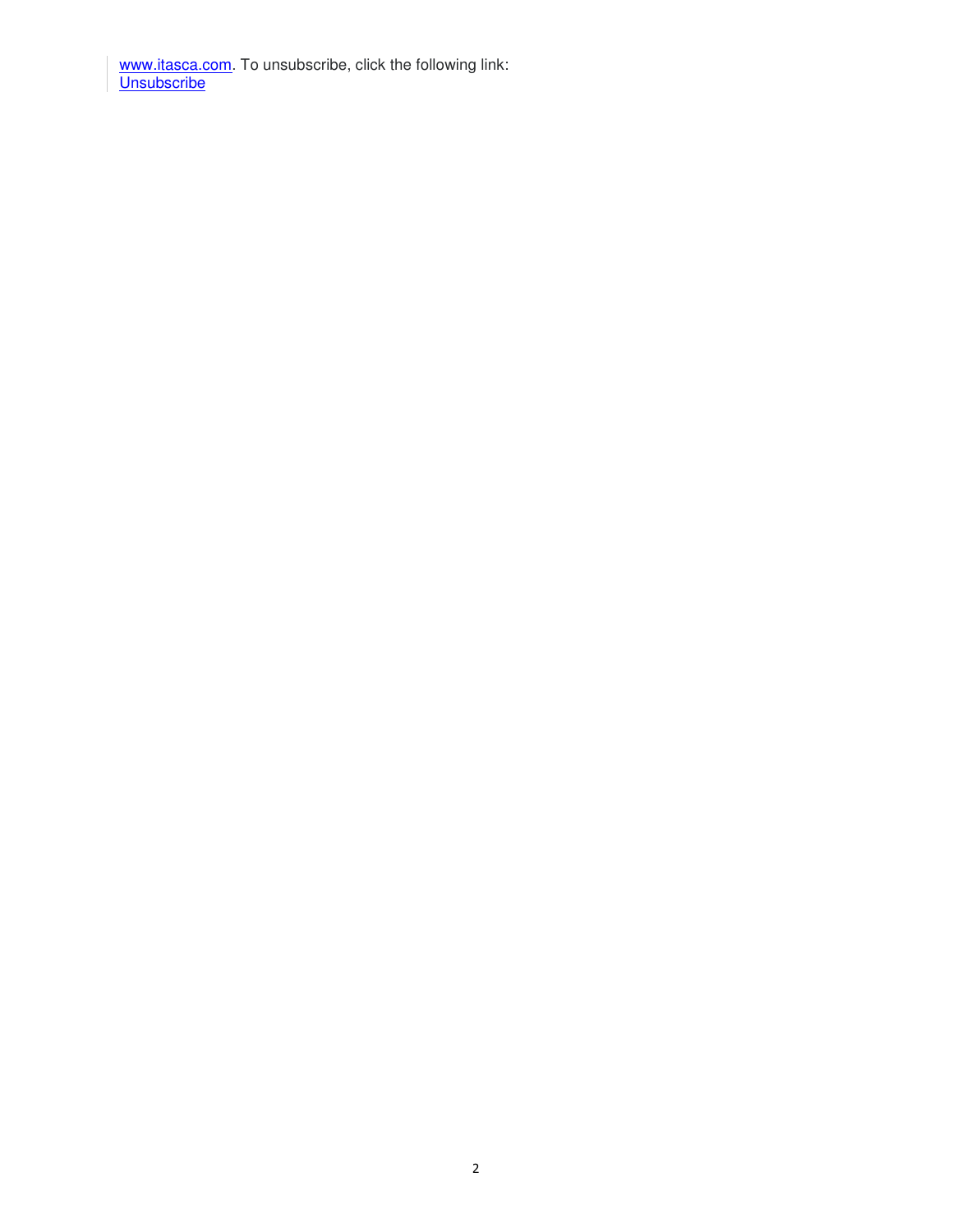www.itasca.com</u>. To unsubscribe, click the following link: Unsubscribe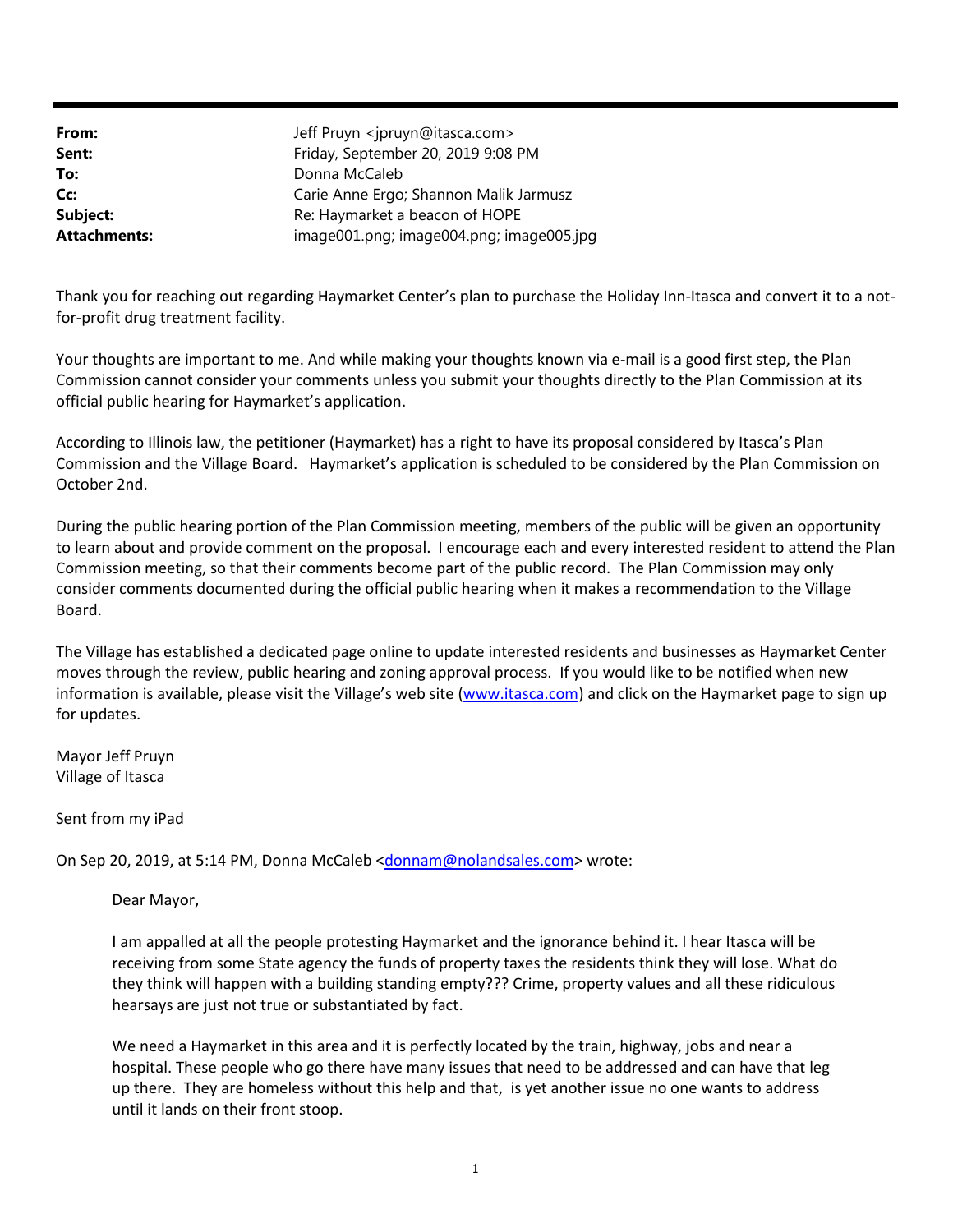| From:               | Jeff Pruyn <jpruyn@itasca.com></jpruyn@itasca.com> |
|---------------------|----------------------------------------------------|
| Sent:               | Friday, September 20, 2019 9:08 PM                 |
| To:                 | Donna McCaleb                                      |
| Cc:                 | Carie Anne Ergo; Shannon Malik Jarmusz             |
| Subject:            | Re: Haymarket a beacon of HOPE                     |
| <b>Attachments:</b> | image001.png; image004.png; image005.jpg           |

Thank you for reaching out regarding Haymarket Center's plan to purchase the Holiday Inn-Itasca and convert it to a notfor-profit drug treatment facility.

Your thoughts are important to me. And while making your thoughts known via e-mail is a good first step, the Plan Commission cannot consider your comments unless you submit your thoughts directly to the Plan Commission at its official public hearing for Haymarket's application.

According to Illinois law, the petitioner (Haymarket) has a right to have its proposal considered by Itasca's Plan Commission and the Village Board. Haymarket's application is scheduled to be considered by the Plan Commission on October 2nd.

During the public hearing portion of the Plan Commission meeting, members of the public will be given an opportunity to learn about and provide comment on the proposal. I encourage each and every interested resident to attend the Plan Commission meeting, so that their comments become part of the public record. The Plan Commission may only consider comments documented during the official public hearing when it makes a recommendation to the Village Board.

The Village has established a dedicated page online to update interested residents and businesses as Haymarket Center moves through the review, public hearing and zoning approval process. If you would like to be notified when new information is available, please visit the Village's web site (www.itasca.com) and click on the Haymarket page to sign up for updates.

Mayor Jeff Pruyn Village of Itasca

Sent from my iPad

On Sep 20, 2019, at 5:14 PM, Donna McCaleb <donnam@nolandsales.com> wrote:

Dear Mayor,

I am appalled at all the people protesting Haymarket and the ignorance behind it. I hear Itasca will be receiving from some State agency the funds of property taxes the residents think they will lose. What do they think will happen with a building standing empty??? Crime, property values and all these ridiculous hearsays are just not true or substantiated by fact.

We need a Haymarket in this area and it is perfectly located by the train, highway, jobs and near a hospital. These people who go there have many issues that need to be addressed and can have that leg up there. They are homeless without this help and that, is yet another issue no one wants to address until it lands on their front stoop.